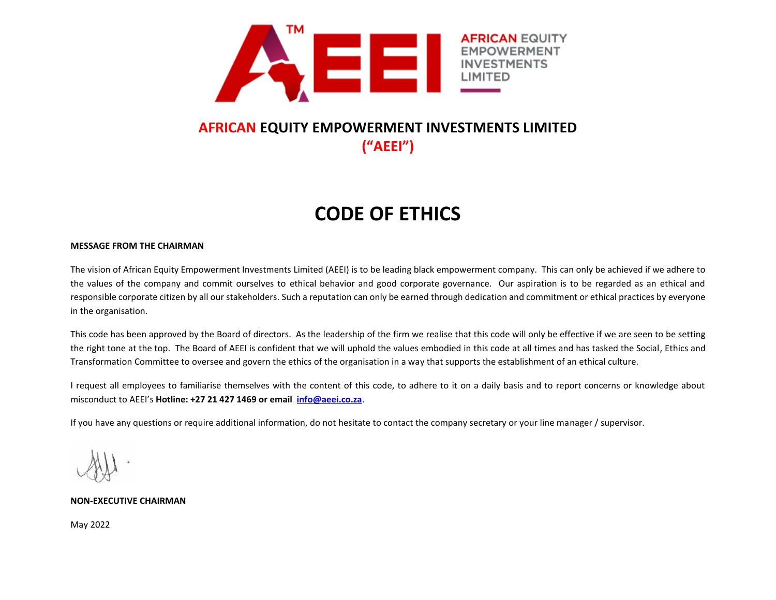

# **AFRICAN EQUITY EMPOWERMENT INVESTMENTS LIMITED ("AEEI")**

# **CODE OF ETHICS**

# **MESSAGE FROM THE CHAIRMAN**

The vision of African Equity Empowerment Investments Limited (AEEI) is to be leading black empowerment company. This can only be achieved if we adhere to the values of the company and commit ourselves to ethical behavior and good corporate governance. Our aspiration is to be regarded as an ethical and responsible corporate citizen by all our stakeholders. Such a reputation can only be earned through dedication and commitment or ethical practices by everyone in the organisation.

This code has been approved by the Board of directors. As the leadership of the firm we realise that this code will only be effective if we are seen to be setting the right tone at the top. The Board of AEEI is confident that we will uphold the values embodied in this code at all times and has tasked the Social, Ethics and Transformation Committee to oversee and govern the ethics of the organisation in a way that supports the establishment of an ethical culture.

I request all employees to familiarise themselves with the content of this code, to adhere to it on a daily basis and to report concerns or knowledge about misconduct to AEEI's **Hotline: +27 21 427 1469 or email [info@aeei.co.za](mailto:info@aeei.co.za)**.

If you have any questions or require additional information, do not hesitate to contact the company secretary or your line manager / supervisor.

**NON-EXECUTIVE CHAIRMAN**

May 2022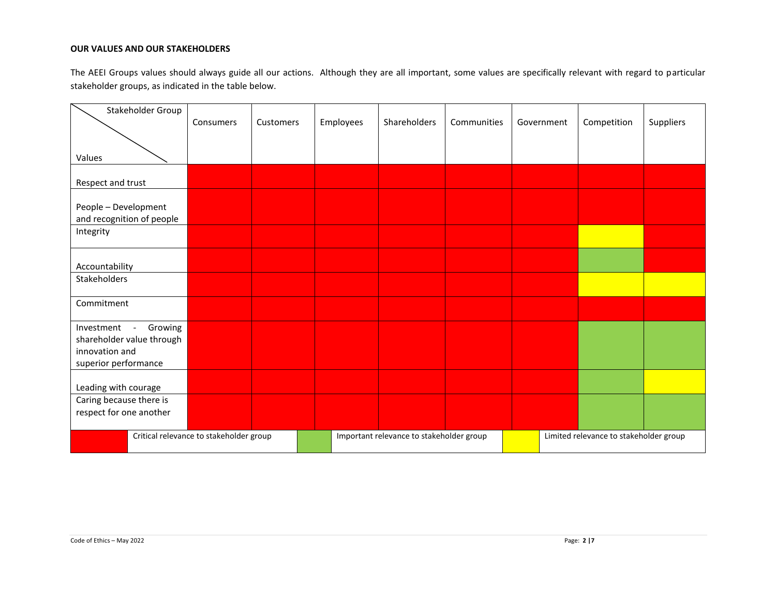# **OUR VALUES AND OUR STAKEHOLDERS**

The AEEI Groups values should always guide all our actions. Although they are all important, some values are specifically relevant with regard to particular stakeholder groups, as indicated in the table below.

| Stakeholder Group                                                                                                             |           |           |           | <b>Shareholders</b> | Communities |            |             |           |
|-------------------------------------------------------------------------------------------------------------------------------|-----------|-----------|-----------|---------------------|-------------|------------|-------------|-----------|
|                                                                                                                               | Consumers | Customers | Employees |                     |             | Government | Competition | Suppliers |
|                                                                                                                               |           |           |           |                     |             |            |             |           |
| Values                                                                                                                        |           |           |           |                     |             |            |             |           |
|                                                                                                                               |           |           |           |                     |             |            |             |           |
| Respect and trust                                                                                                             |           |           |           |                     |             |            |             |           |
|                                                                                                                               |           |           |           |                     |             |            |             |           |
| People - Development<br>and recognition of people                                                                             |           |           |           |                     |             |            |             |           |
| Integrity                                                                                                                     |           |           |           |                     |             |            |             |           |
|                                                                                                                               |           |           |           |                     |             |            |             |           |
|                                                                                                                               |           |           |           |                     |             |            |             |           |
| Accountability                                                                                                                |           |           |           |                     |             |            |             |           |
| Stakeholders                                                                                                                  |           |           |           |                     |             |            |             |           |
|                                                                                                                               |           |           |           |                     |             |            |             |           |
| Commitment                                                                                                                    |           |           |           |                     |             |            |             |           |
| Growing<br>Investment<br>$\overline{\phantom{a}}$                                                                             |           |           |           |                     |             |            |             |           |
| shareholder value through                                                                                                     |           |           |           |                     |             |            |             |           |
| innovation and                                                                                                                |           |           |           |                     |             |            |             |           |
| superior performance                                                                                                          |           |           |           |                     |             |            |             |           |
|                                                                                                                               |           |           |           |                     |             |            |             |           |
| Leading with courage                                                                                                          |           |           |           |                     |             |            |             |           |
| Caring because there is                                                                                                       |           |           |           |                     |             |            |             |           |
| respect for one another                                                                                                       |           |           |           |                     |             |            |             |           |
| Critical relevance to stakeholder group<br>Limited relevance to stakeholder group<br>Important relevance to stakeholder group |           |           |           |                     |             |            |             |           |
|                                                                                                                               |           |           |           |                     |             |            |             |           |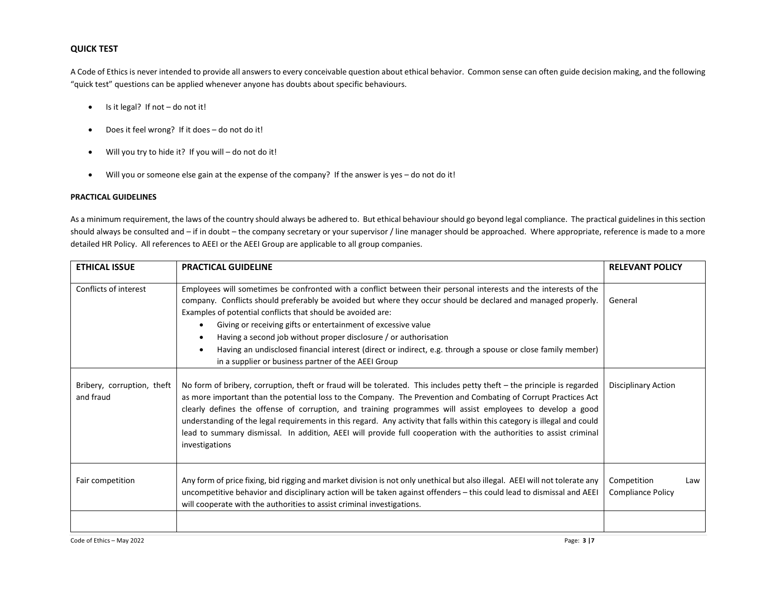# **QUICK TEST**

A Code of Ethics is never intended to provide all answers to every conceivable question about ethical behavior. Common sense can often guide decision making, and the following "quick test" questions can be applied whenever anyone has doubts about specific behaviours.

- Is it legal? If not do not it!
- Does it feel wrong? If it does do not do it!
- Will you try to hide it? If you will do not do it!
- Will you or someone else gain at the expense of the company? If the answer is yes do not do it!

# **PRACTICAL GUIDELINES**

As a minimum requirement, the laws of the country should always be adhered to. But ethical behaviour should go beyond legal compliance. The practical guidelines in this section should always be consulted and – if in doubt – the company secretary or your supervisor / line manager should be approached. Where appropriate, reference is made to a more detailed HR Policy. All references to AEEI or the AEEI Group are applicable to all group companies.

| <b>ETHICAL ISSUE</b>                    | <b>PRACTICAL GUIDELINE</b>                                                                                                                                                                                                                                                                                                                                                                                                                                                                                                                                                                                                                         | <b>RELEVANT POLICY</b>           |     |
|-----------------------------------------|----------------------------------------------------------------------------------------------------------------------------------------------------------------------------------------------------------------------------------------------------------------------------------------------------------------------------------------------------------------------------------------------------------------------------------------------------------------------------------------------------------------------------------------------------------------------------------------------------------------------------------------------------|----------------------------------|-----|
| Conflicts of interest                   | Employees will sometimes be confronted with a conflict between their personal interests and the interests of the<br>company. Conflicts should preferably be avoided but where they occur should be declared and managed properly.<br>Examples of potential conflicts that should be avoided are:<br>Giving or receiving gifts or entertainment of excessive value<br>$\bullet$<br>Having a second job without proper disclosure / or authorisation<br>$\bullet$<br>Having an undisclosed financial interest (direct or indirect, e.g. through a spouse or close family member)<br>$\bullet$<br>in a supplier or business partner of the AEEI Group | General                          |     |
| Bribery, corruption, theft<br>and fraud | No form of bribery, corruption, theft or fraud will be tolerated. This includes petty theft – the principle is regarded<br>as more important than the potential loss to the Company. The Prevention and Combating of Corrupt Practices Act<br>clearly defines the offense of corruption, and training programmes will assist employees to develop a good<br>understanding of the legal requirements in this regard. Any activity that falls within this category is illegal and could<br>lead to summary dismissal. In addition, AEEI will provide full cooperation with the authorities to assist criminal<br>investigations                      | Disciplinary Action              |     |
| Fair competition                        | Any form of price fixing, bid rigging and market division is not only unethical but also illegal. AEEI will not tolerate any<br>uncompetitive behavior and disciplinary action will be taken against offenders - this could lead to dismissal and AEEI<br>will cooperate with the authorities to assist criminal investigations.                                                                                                                                                                                                                                                                                                                   | Competition<br>Compliance Policy | Law |
|                                         |                                                                                                                                                                                                                                                                                                                                                                                                                                                                                                                                                                                                                                                    |                                  |     |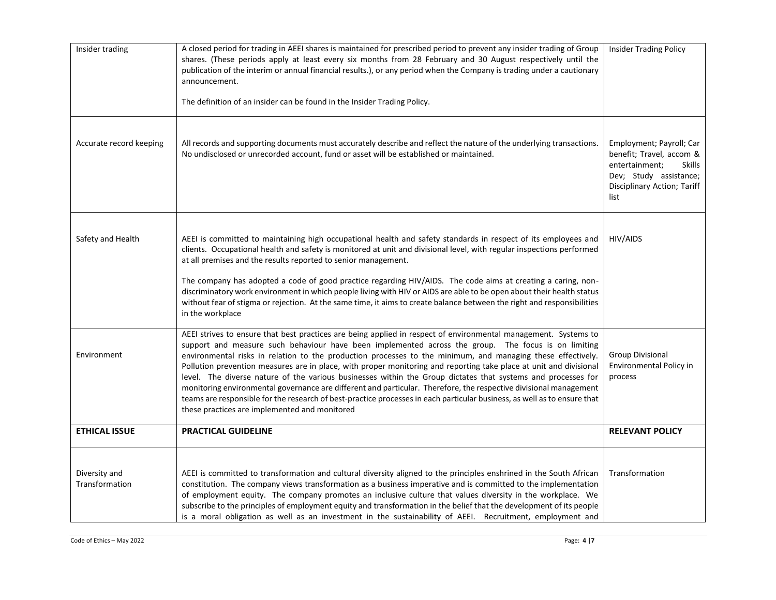| Insider trading                 | A closed period for trading in AEEI shares is maintained for prescribed period to prevent any insider trading of Group<br>shares. (These periods apply at least every six months from 28 February and 30 August respectively until the<br>publication of the interim or annual financial results.), or any period when the Company is trading under a cautionary<br>announcement.<br>The definition of an insider can be found in the Insider Trading Policy.                                                                                                                                                                                                                                                                                                                                                                                                                 | <b>Insider Trading Policy</b>                                                                                                                            |
|---------------------------------|-------------------------------------------------------------------------------------------------------------------------------------------------------------------------------------------------------------------------------------------------------------------------------------------------------------------------------------------------------------------------------------------------------------------------------------------------------------------------------------------------------------------------------------------------------------------------------------------------------------------------------------------------------------------------------------------------------------------------------------------------------------------------------------------------------------------------------------------------------------------------------|----------------------------------------------------------------------------------------------------------------------------------------------------------|
| Accurate record keeping         | All records and supporting documents must accurately describe and reflect the nature of the underlying transactions.<br>No undisclosed or unrecorded account, fund or asset will be established or maintained.                                                                                                                                                                                                                                                                                                                                                                                                                                                                                                                                                                                                                                                                | Employment; Payroll; Car<br>benefit; Travel, accom &<br>entertainment;<br><b>Skills</b><br>Dev; Study assistance;<br>Disciplinary Action; Tariff<br>list |
| Safety and Health               | AEEI is committed to maintaining high occupational health and safety standards in respect of its employees and<br>clients. Occupational health and safety is monitored at unit and divisional level, with regular inspections performed<br>at all premises and the results reported to senior management.<br>The company has adopted a code of good practice regarding HIV/AIDS. The code aims at creating a caring, non-<br>discriminatory work environment in which people living with HIV or AIDS are able to be open about their health status<br>without fear of stigma or rejection. At the same time, it aims to create balance between the right and responsibilities<br>in the workplace                                                                                                                                                                             | HIV/AIDS                                                                                                                                                 |
| Environment                     | AEEI strives to ensure that best practices are being applied in respect of environmental management. Systems to<br>support and measure such behaviour have been implemented across the group. The focus is on limiting<br>environmental risks in relation to the production processes to the minimum, and managing these effectively.<br>Pollution prevention measures are in place, with proper monitoring and reporting take place at unit and divisional<br>level. The diverse nature of the various businesses within the Group dictates that systems and processes for<br>monitoring environmental governance are different and particular. Therefore, the respective divisional management<br>teams are responsible for the research of best-practice processes in each particular business, as well as to ensure that<br>these practices are implemented and monitored | <b>Group Divisional</b><br>Environmental Policy in<br>process                                                                                            |
| <b>ETHICAL ISSUE</b>            | <b>PRACTICAL GUIDELINE</b>                                                                                                                                                                                                                                                                                                                                                                                                                                                                                                                                                                                                                                                                                                                                                                                                                                                    | <b>RELEVANT POLICY</b>                                                                                                                                   |
| Diversity and<br>Transformation | AEEI is committed to transformation and cultural diversity aligned to the principles enshrined in the South African<br>constitution. The company views transformation as a business imperative and is committed to the implementation<br>of employment equity. The company promotes an inclusive culture that values diversity in the workplace. We<br>subscribe to the principles of employment equity and transformation in the belief that the development of its people<br>is a moral obligation as well as an investment in the sustainability of AEEI. Recruitment, employment and                                                                                                                                                                                                                                                                                      | Transformation                                                                                                                                           |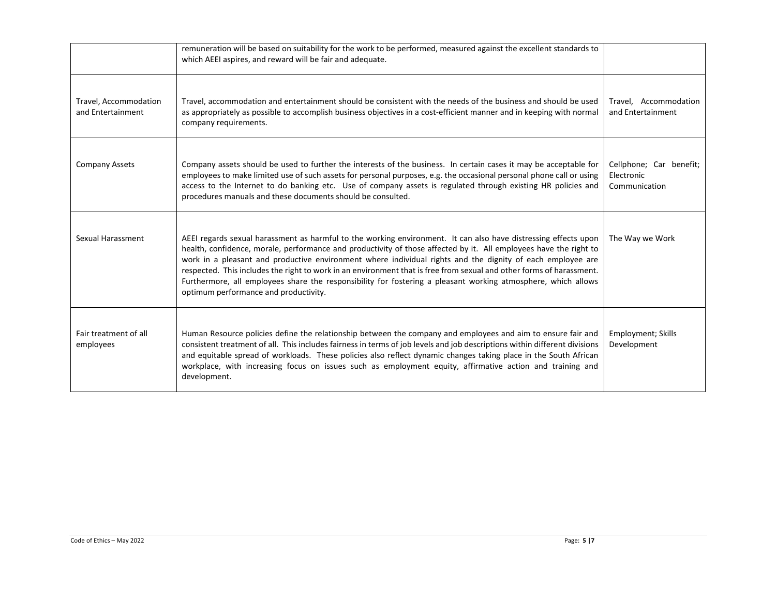|                                            | remuneration will be based on suitability for the work to be performed, measured against the excellent standards to<br>which AEEI aspires, and reward will be fair and adequate.                                                                                                                                                                                                                                                                                                                                                                                                                                                     |                                                        |
|--------------------------------------------|--------------------------------------------------------------------------------------------------------------------------------------------------------------------------------------------------------------------------------------------------------------------------------------------------------------------------------------------------------------------------------------------------------------------------------------------------------------------------------------------------------------------------------------------------------------------------------------------------------------------------------------|--------------------------------------------------------|
| Travel, Accommodation<br>and Entertainment | Travel, accommodation and entertainment should be consistent with the needs of the business and should be used<br>as appropriately as possible to accomplish business objectives in a cost-efficient manner and in keeping with normal<br>company requirements.                                                                                                                                                                                                                                                                                                                                                                      | Travel, Accommodation<br>and Entertainment             |
| <b>Company Assets</b>                      | Company assets should be used to further the interests of the business. In certain cases it may be acceptable for<br>employees to make limited use of such assets for personal purposes, e.g. the occasional personal phone call or using<br>access to the Internet to do banking etc. Use of company assets is regulated through existing HR policies and<br>procedures manuals and these documents should be consulted.                                                                                                                                                                                                            | Cellphone; Car benefit;<br>Electronic<br>Communication |
| Sexual Harassment                          | AEEI regards sexual harassment as harmful to the working environment. It can also have distressing effects upon<br>health, confidence, morale, performance and productivity of those affected by it. All employees have the right to<br>work in a pleasant and productive environment where individual rights and the dignity of each employee are<br>respected. This includes the right to work in an environment that is free from sexual and other forms of harassment.<br>Furthermore, all employees share the responsibility for fostering a pleasant working atmosphere, which allows<br>optimum performance and productivity. | The Way we Work                                        |
| Fair treatment of all<br>employees         | Human Resource policies define the relationship between the company and employees and aim to ensure fair and<br>consistent treatment of all. This includes fairness in terms of job levels and job descriptions within different divisions<br>and equitable spread of workloads. These policies also reflect dynamic changes taking place in the South African<br>workplace, with increasing focus on issues such as employment equity, affirmative action and training and<br>development.                                                                                                                                          | <b>Employment</b> ; Skills<br>Development              |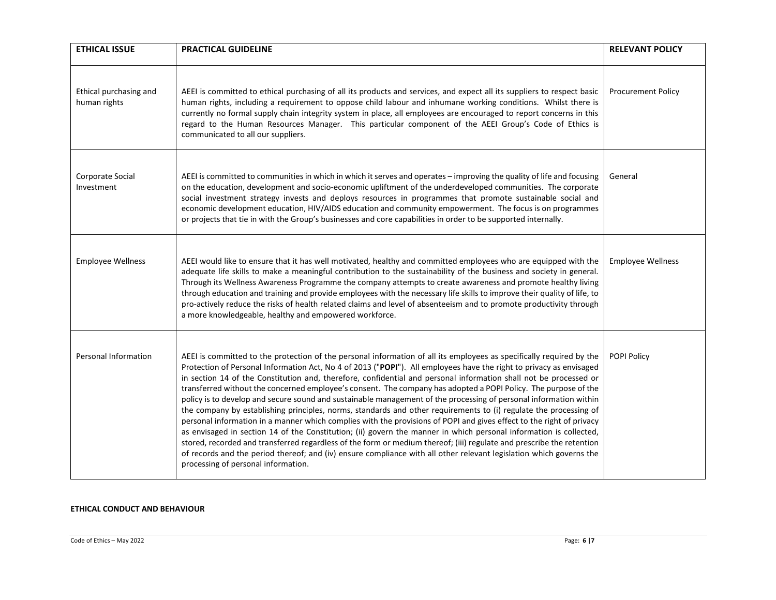| <b>ETHICAL ISSUE</b>                   | <b>PRACTICAL GUIDELINE</b>                                                                                                                                                                                                                                                                                                                                                                                                                                                                                                                                                                                                                                                                                                                                                                                                                                                                                                                                                                                                                                                                                                                                                                                                                                         | <b>RELEVANT POLICY</b>    |
|----------------------------------------|--------------------------------------------------------------------------------------------------------------------------------------------------------------------------------------------------------------------------------------------------------------------------------------------------------------------------------------------------------------------------------------------------------------------------------------------------------------------------------------------------------------------------------------------------------------------------------------------------------------------------------------------------------------------------------------------------------------------------------------------------------------------------------------------------------------------------------------------------------------------------------------------------------------------------------------------------------------------------------------------------------------------------------------------------------------------------------------------------------------------------------------------------------------------------------------------------------------------------------------------------------------------|---------------------------|
| Ethical purchasing and<br>human rights | AEEI is committed to ethical purchasing of all its products and services, and expect all its suppliers to respect basic<br>human rights, including a requirement to oppose child labour and inhumane working conditions. Whilst there is<br>currently no formal supply chain integrity system in place, all employees are encouraged to report concerns in this<br>regard to the Human Resources Manager. This particular component of the AEEI Group's Code of Ethics is<br>communicated to all our suppliers.                                                                                                                                                                                                                                                                                                                                                                                                                                                                                                                                                                                                                                                                                                                                                    | <b>Procurement Policy</b> |
| Corporate Social<br>Investment         | AEEI is committed to communities in which in which it serves and operates - improving the quality of life and focusing<br>on the education, development and socio-economic upliftment of the underdeveloped communities. The corporate<br>social investment strategy invests and deploys resources in programmes that promote sustainable social and<br>economic development education, HIV/AIDS education and community empowerment. The focus is on programmes<br>or projects that tie in with the Group's businesses and core capabilities in order to be supported internally.                                                                                                                                                                                                                                                                                                                                                                                                                                                                                                                                                                                                                                                                                 | General                   |
| <b>Employee Wellness</b>               | AEEI would like to ensure that it has well motivated, healthy and committed employees who are equipped with the<br>adequate life skills to make a meaningful contribution to the sustainability of the business and society in general.<br>Through its Wellness Awareness Programme the company attempts to create awareness and promote healthy living<br>through education and training and provide employees with the necessary life skills to improve their quality of life, to<br>pro-actively reduce the risks of health related claims and level of absenteeism and to promote productivity through<br>a more knowledgeable, healthy and empowered workforce.                                                                                                                                                                                                                                                                                                                                                                                                                                                                                                                                                                                               | <b>Employee Wellness</b>  |
| Personal Information                   | AEEI is committed to the protection of the personal information of all its employees as specifically required by the<br>Protection of Personal Information Act, No 4 of 2013 ("POPI"). All employees have the right to privacy as envisaged<br>in section 14 of the Constitution and, therefore, confidential and personal information shall not be processed or<br>transferred without the concerned employee's consent. The company has adopted a POPI Policy. The purpose of the<br>policy is to develop and secure sound and sustainable management of the processing of personal information within<br>the company by establishing principles, norms, standards and other requirements to (i) regulate the processing of<br>personal information in a manner which complies with the provisions of POPI and gives effect to the right of privacy<br>as envisaged in section 14 of the Constitution; (ii) govern the manner in which personal information is collected,<br>stored, recorded and transferred regardless of the form or medium thereof; (iii) regulate and prescribe the retention<br>of records and the period thereof; and (iv) ensure compliance with all other relevant legislation which governs the<br>processing of personal information. | POPI Policy               |

#### **ETHICAL CONDUCT AND BEHAVIOUR**